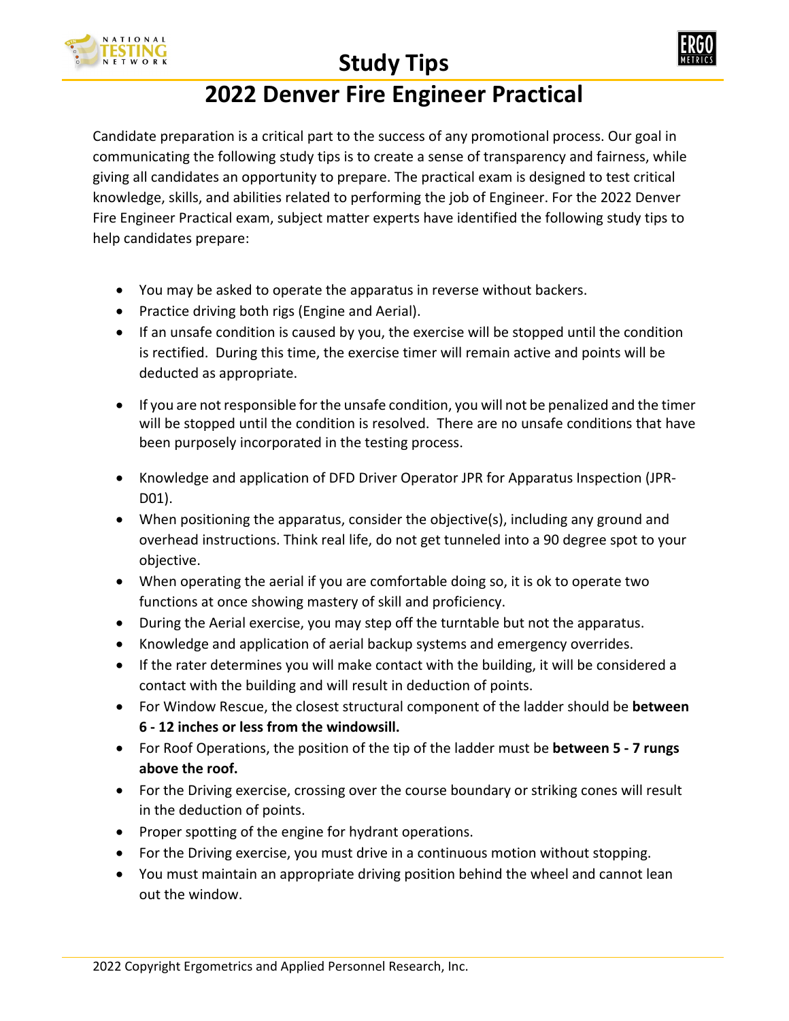

## **Study Tips**



## **2022 Denver Fire Engineer Practical**

Candidate preparation is a critical part to the success of any promotional process. Our goal in communicating the following study tips is to create a sense of transparency and fairness, while giving all candidates an opportunity to prepare. The practical exam is designed to test critical knowledge, skills, and abilities related to performing the job of Engineer. For the 2022 Denver Fire Engineer Practical exam, subject matter experts have identified the following study tips to help candidates prepare:

- You may be asked to operate the apparatus in reverse without backers.
- Practice driving both rigs (Engine and Aerial).
- If an unsafe condition is caused by you, the exercise will be stopped until the condition is rectified. During this time, the exercise timer will remain active and points will be deducted as appropriate.
- If you are not responsible for the unsafe condition, you will not be penalized and the timer will be stopped until the condition is resolved. There are no unsafe conditions that have been purposely incorporated in the testing process.
- Knowledge and application of DFD Driver Operator JPR for Apparatus Inspection (JPR-D01).
- When positioning the apparatus, consider the objective(s), including any ground and overhead instructions. Think real life, do not get tunneled into a 90 degree spot to your objective.
- When operating the aerial if you are comfortable doing so, it is ok to operate two functions at once showing mastery of skill and proficiency.
- During the Aerial exercise, you may step off the turntable but not the apparatus.
- Knowledge and application of aerial backup systems and emergency overrides.
- If the rater determines you will make contact with the building, it will be considered a contact with the building and will result in deduction of points.
- For Window Rescue, the closest structural component of the ladder should be **between 6 - 12 inches or less from the windowsill.**
- For Roof Operations, the position of the tip of the ladder must be **between 5 - 7 rungs above the roof.**
- For the Driving exercise, crossing over the course boundary or striking cones will result in the deduction of points.
- Proper spotting of the engine for hydrant operations.
- For the Driving exercise, you must drive in a continuous motion without stopping.
- You must maintain an appropriate driving position behind the wheel and cannot lean out the window.